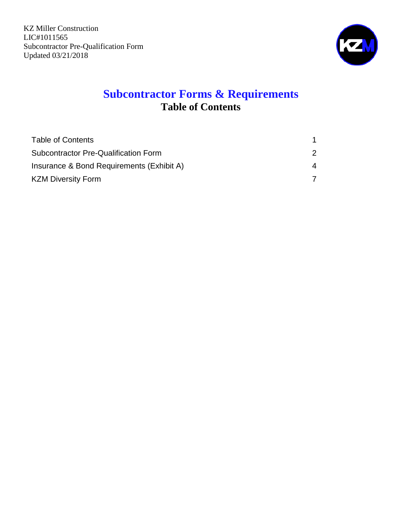

## **Subcontractor Forms & Requirements Table of Contents**

| Table of Contents                         |   |
|-------------------------------------------|---|
| Subcontractor Pre-Qualification Form      |   |
| Insurance & Bond Requirements (Exhibit A) | 4 |
| KZM Diversity Form                        |   |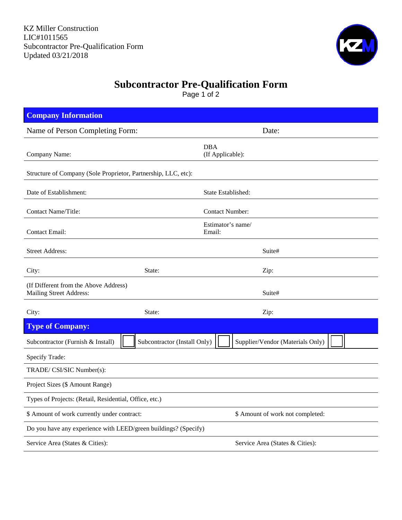

## **Subcontractor Pre-Qualification Form**

Page 1 of 2

| <b>Company Information</b>                                       |                              |                                  |                                  |  |
|------------------------------------------------------------------|------------------------------|----------------------------------|----------------------------------|--|
| Name of Person Completing Form:                                  |                              |                                  | Date:                            |  |
| Company Name:                                                    |                              | <b>DBA</b><br>(If Applicable):   |                                  |  |
| Structure of Company (Sole Proprietor, Partnership, LLC, etc):   |                              |                                  |                                  |  |
| Date of Establishment:                                           |                              | State Established:               |                                  |  |
| Contact Name/Title:                                              |                              | <b>Contact Number:</b>           |                                  |  |
| <b>Contact Email:</b>                                            |                              | Estimator's name/<br>Email:      |                                  |  |
| <b>Street Address:</b>                                           |                              |                                  | Suite#                           |  |
| City:                                                            | State:                       |                                  | Zip:                             |  |
| (If Different from the Above Address)<br>Mailing Street Address: |                              |                                  | Suite#                           |  |
| City:                                                            | State:                       |                                  | Zip:                             |  |
| <b>Type of Company:</b>                                          |                              |                                  |                                  |  |
| Subcontractor (Furnish & Install)                                | Subcontractor (Install Only) |                                  | Supplier/Vendor (Materials Only) |  |
| <b>Specify Trade:</b>                                            |                              |                                  |                                  |  |
| TRADE/ CSI/SIC Number(s):                                        |                              |                                  |                                  |  |
| Project Sizes (\$ Amount Range)                                  |                              |                                  |                                  |  |
| Types of Projects: (Retail, Residential, Office, etc.)           |                              |                                  |                                  |  |
| \$ Amount of work currently under contract:                      |                              | \$ Amount of work not completed: |                                  |  |
| Do you have any experience with LEED/green buildings? (Specify)  |                              |                                  |                                  |  |
| Service Area (States & Cities):                                  |                              |                                  | Service Area (States & Cities):  |  |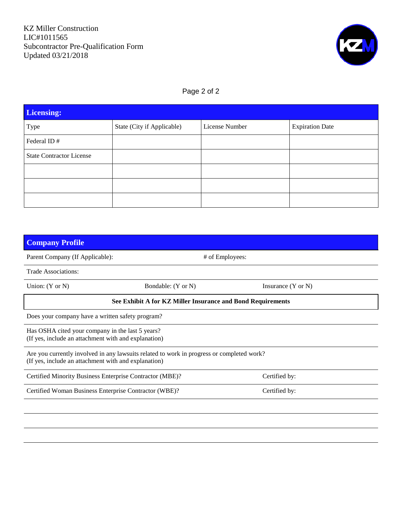

#### Page 2 of 2

| <b>Licensing:</b>               |                            |                |                        |  |  |
|---------------------------------|----------------------------|----------------|------------------------|--|--|
| Type                            | State (City if Applicable) | License Number | <b>Expiration Date</b> |  |  |
| Federal ID#                     |                            |                |                        |  |  |
| <b>State Contractor License</b> |                            |                |                        |  |  |
|                                 |                            |                |                        |  |  |
|                                 |                            |                |                        |  |  |
|                                 |                            |                |                        |  |  |

| <b>Company Profile</b>                                                                                                                            |                               |  |  |  |  |
|---------------------------------------------------------------------------------------------------------------------------------------------------|-------------------------------|--|--|--|--|
| Parent Company (If Applicable):                                                                                                                   | # of Employees:               |  |  |  |  |
| Trade Associations:                                                                                                                               |                               |  |  |  |  |
| Union: $(Y \text{ or } N)$<br>Bondable: (Y or N)                                                                                                  | Insurance $(Y \text{ or } N)$ |  |  |  |  |
| See Exhibit A for KZ Miller Insurance and Bond Requirements                                                                                       |                               |  |  |  |  |
| Does your company have a written safety program?                                                                                                  |                               |  |  |  |  |
| Has OSHA cited your company in the last 5 years?<br>(If yes, include an attachment with and explanation)                                          |                               |  |  |  |  |
| Are you currently involved in any lawsuits related to work in progress or completed work?<br>(If yes, include an attachment with and explanation) |                               |  |  |  |  |
| Certified Minority Business Enterprise Contractor (MBE)?                                                                                          | Certified by:                 |  |  |  |  |
| Certified Woman Business Enterprise Contractor (WBE)?                                                                                             | Certified by:                 |  |  |  |  |
|                                                                                                                                                   |                               |  |  |  |  |
|                                                                                                                                                   |                               |  |  |  |  |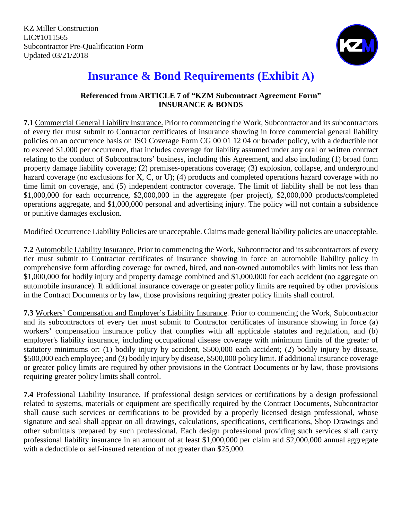

# **Insurance & Bond Requirements (Exhibit A)**

#### **Referenced from ARTICLE 7 of "KZM Subcontract Agreement Form" INSURANCE & BONDS**

**7.1** Commercial General Liability Insurance. Prior to commencing the Work, Subcontractor and its subcontractors of every tier must submit to Contractor certificates of insurance showing in force commercial general liability policies on an occurrence basis on ISO Coverage Form CG 00 01 12 04 or broader policy, with a deductible not to exceed \$1,000 per occurrence, that includes coverage for liability assumed under any oral or written contract relating to the conduct of Subcontractors' business, including this Agreement, and also including (1) broad form property damage liability coverage; (2) premises-operations coverage; (3) explosion, collapse, and underground hazard coverage (no exclusions for X, C, or U); (4) products and completed operations hazard coverage with no time limit on coverage, and (5) independent contractor coverage. The limit of liability shall be not less than \$1,000,000 for each occurrence, \$2,000,000 in the aggregate (per project), \$2,000,000 products/completed operations aggregate, and \$1,000,000 personal and advertising injury. The policy will not contain a subsidence or punitive damages exclusion.

Modified Occurrence Liability Policies are unacceptable. Claims made general liability policies are unacceptable.

**7.2** Automobile Liability Insurance. Prior to commencing the Work, Subcontractor and its subcontractors of every tier must submit to Contractor certificates of insurance showing in force an automobile liability policy in comprehensive form affording coverage for owned, hired, and non-owned automobiles with limits not less than \$1,000,000 for bodily injury and property damage combined and \$1,000,000 for each accident (no aggregate on automobile insurance). If additional insurance coverage or greater policy limits are required by other provisions in the Contract Documents or by law, those provisions requiring greater policy limits shall control.

**7.3** Workers' Compensation and Employer's Liability Insurance. Prior to commencing the Work, Subcontractor and its subcontractors of every tier must submit to Contractor certificates of insurance showing in force (a) workers' compensation insurance policy that complies with all applicable statutes and regulation, and (b) employer's liability insurance, including occupational disease coverage with minimum limits of the greater of statutory minimums or: (1) bodily injury by accident, \$500,000 each accident; (2) bodily injury by disease, \$500,000 each employee; and (3) bodily injury by disease, \$500,000 policy limit. If additional insurance coverage or greater policy limits are required by other provisions in the Contract Documents or by law, those provisions requiring greater policy limits shall control.

**7.4** Professional Liability Insurance. If professional design services or certifications by a design professional related to systems, materials or equipment are specifically required by the Contract Documents, Subcontractor shall cause such services or certifications to be provided by a properly licensed design professional, whose signature and seal shall appear on all drawings, calculations, specifications, certifications, Shop Drawings and other submittals prepared by such professional. Each design professional providing such services shall carry professional liability insurance in an amount of at least \$1,000,000 per claim and \$2,000,000 annual aggregate with a deductible or self-insured retention of not greater than \$25,000.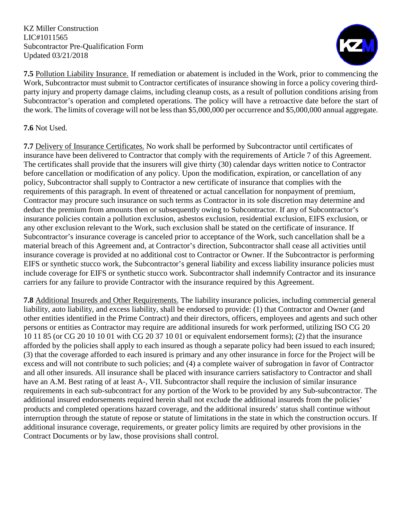

**7.5** Pollution Liability Insurance. If remediation or abatement is included in the Work, prior to commencing the Work, Subcontractor must submit to Contractor certificates of insurance showing in force a policy covering thirdparty injury and property damage claims, including cleanup costs, as a result of pollution conditions arising from Subcontractor's operation and completed operations. The policy will have a retroactive date before the start of the work. The limits of coverage will not be less than \$5,000,000 per occurrence and \$5,000,000 annual aggregate.

#### **7.6** Not Used.

**7.7** Delivery of Insurance Certificates. No work shall be performed by Subcontractor until certificates of insurance have been delivered to Contractor that comply with the requirements of Article 7 of this Agreement. The certificates shall provide that the insurers will give thirty (30) calendar days written notice to Contractor before cancellation or modification of any policy. Upon the modification, expiration, or cancellation of any policy, Subcontractor shall supply to Contractor a new certificate of insurance that complies with the requirements of this paragraph. In event of threatened or actual cancellation for nonpayment of premium, Contractor may procure such insurance on such terms as Contractor in its sole discretion may determine and deduct the premium from amounts then or subsequently owing to Subcontractor. If any of Subcontractor's insurance policies contain a pollution exclusion, asbestos exclusion, residential exclusion, EIFS exclusion, or any other exclusion relevant to the Work, such exclusion shall be stated on the certificate of insurance. If Subcontractor's insurance coverage is canceled prior to acceptance of the Work, such cancellation shall be a material breach of this Agreement and, at Contractor's direction, Subcontractor shall cease all activities until insurance coverage is provided at no additional cost to Contractor or Owner. If the Subcontractor is performing EIFS or synthetic stucco work, the Subcontractor's general liability and excess liability insurance policies must include coverage for EIFS or synthetic stucco work. Subcontractor shall indemnify Contractor and its insurance carriers for any failure to provide Contractor with the insurance required by this Agreement.

**7.8** Additional Insureds and Other Requirements. The liability insurance policies, including commercial general liability, auto liability, and excess liability, shall be endorsed to provide: (1) that Contractor and Owner (and other entities identified in the Prime Contract) and their directors, officers, employees and agents and such other persons or entities as Contractor may require are additional insureds for work performed, utilizing ISO CG 20 10 11 85 (or CG 20 10 10 01 with CG 20 37 10 01 or equivalent endorsement forms); (2) that the insurance afforded by the policies shall apply to each insured as though a separate policy had been issued to each insured; (3) that the coverage afforded to each insured is primary and any other insurance in force for the Project will be excess and will not contribute to such policies; and (4) a complete waiver of subrogation in favor of Contractor and all other insureds. All insurance shall be placed with insurance carriers satisfactory to Contractor and shall have an A.M. Best rating of at least A-, VII. Subcontractor shall require the inclusion of similar insurance requirements in each sub-subcontract for any portion of the Work to be provided by any Sub-subcontractor. The additional insured endorsements required herein shall not exclude the additional insureds from the policies' products and completed operations hazard coverage, and the additional insureds' status shall continue without interruption through the statute of repose or statute of limitations in the state in which the construction occurs. If additional insurance coverage, requirements, or greater policy limits are required by other provisions in the Contract Documents or by law, those provisions shall control.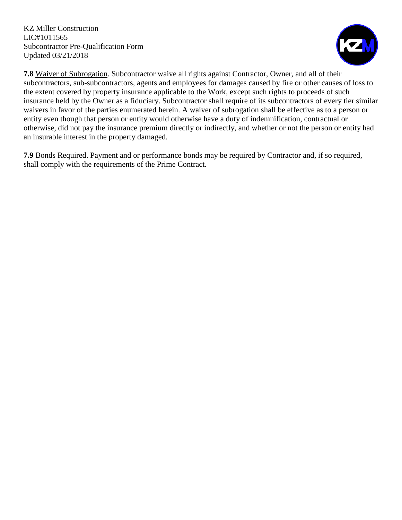

**7.8** Waiver of Subrogation. Subcontractor waive all rights against Contractor, Owner, and all of their subcontractors, sub-subcontractors, agents and employees for damages caused by fire or other causes of loss to the extent covered by property insurance applicable to the Work, except such rights to proceeds of such insurance held by the Owner as a fiduciary. Subcontractor shall require of its subcontractors of every tier similar waivers in favor of the parties enumerated herein. A waiver of subrogation shall be effective as to a person or entity even though that person or entity would otherwise have a duty of indemnification, contractual or otherwise, did not pay the insurance premium directly or indirectly, and whether or not the person or entity had an insurable interest in the property damaged.

**7.9** Bonds Required. Payment and or performance bonds may be required by Contractor and, if so required, shall comply with the requirements of the Prime Contract.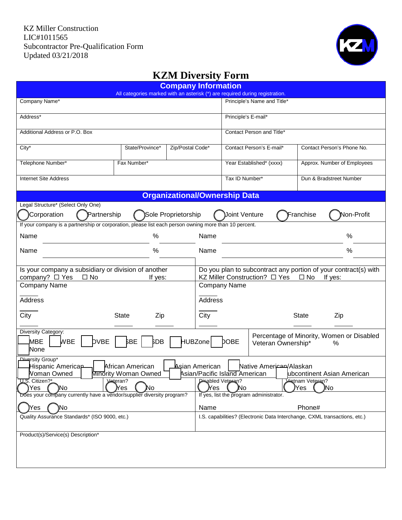

| <b>Company Information</b><br>All categories marked with an asterisk (*) are required during registration.                                                                                                                 |                       |                                                                                                                             |                                 |                     |                                                                           |                              |                             |
|----------------------------------------------------------------------------------------------------------------------------------------------------------------------------------------------------------------------------|-----------------------|-----------------------------------------------------------------------------------------------------------------------------|---------------------------------|---------------------|---------------------------------------------------------------------------|------------------------------|-----------------------------|
| Company Name*                                                                                                                                                                                                              |                       |                                                                                                                             |                                 |                     | Principle's Name and Title*                                               |                              |                             |
| Address*                                                                                                                                                                                                                   |                       |                                                                                                                             |                                 | Principle's E-mail* |                                                                           |                              |                             |
| Additional Address or P.O. Box                                                                                                                                                                                             |                       |                                                                                                                             |                                 |                     | Contact Person and Title*                                                 |                              |                             |
| City*                                                                                                                                                                                                                      | State/Province*       | Zip/Postal Code*                                                                                                            |                                 |                     | Contact Person's E-mail*                                                  |                              | Contact Person's Phone No.  |
| Telephone Number*                                                                                                                                                                                                          | Fax Number*           |                                                                                                                             |                                 |                     | Year Established* (xxxx)                                                  |                              | Approx. Number of Employees |
| <b>Internet Site Address</b>                                                                                                                                                                                               |                       |                                                                                                                             |                                 | Tax ID Number*      |                                                                           |                              | Dun & Bradstreet Number     |
| Legal Structure* (Select Only One)                                                                                                                                                                                         |                       | <b>Organizational/Ownership Data</b>                                                                                        |                                 |                     |                                                                           |                              |                             |
| Corporation<br>Partnership                                                                                                                                                                                                 |                       | Sole Proprietorship                                                                                                         |                                 | Joint Venture       |                                                                           | Franchise                    | Non-Profit                  |
| If your company is a partnership or corporation, please list each person owning more than 10 percent.                                                                                                                      |                       |                                                                                                                             |                                 |                     |                                                                           |                              |                             |
| Name                                                                                                                                                                                                                       | %                     |                                                                                                                             | Name                            |                     |                                                                           |                              | %                           |
| Name                                                                                                                                                                                                                       | %                     |                                                                                                                             | Name                            |                     |                                                                           |                              | %                           |
| Is your company a subsidiary or division of another<br>company? □ Yes<br>$\square$ No<br>If yes:                                                                                                                           |                       | Do you plan to subcontract any portion of your contract(s) with<br>KZ Miller Construction? □ Yes<br>$\square$ No<br>If yes: |                                 |                     |                                                                           |                              |                             |
| <b>Company Name</b>                                                                                                                                                                                                        |                       |                                                                                                                             |                                 | <b>Company Name</b> |                                                                           |                              |                             |
| Address                                                                                                                                                                                                                    |                       |                                                                                                                             | <b>Address</b>                  |                     |                                                                           |                              |                             |
| City                                                                                                                                                                                                                       | <b>State</b><br>Zip   |                                                                                                                             | City                            |                     |                                                                           | <b>State</b>                 | Zip                         |
| Diversity Category:<br>Percentage of Minority, Women or Disabled<br><b>MBE</b><br><b>WBE</b><br><b>DVBE</b><br>þВE<br><b>HUBZone</b><br>þРB<br><b>DOBE</b><br>Veteran Ownership*<br>%<br>None                              |                       |                                                                                                                             |                                 |                     |                                                                           |                              |                             |
| Aiversity Group*<br>African American<br>Asian American<br>Native American/Alaskan<br>Hispanic Americap<br><b>Noman Owned</b><br><b>Mindrity Woman Owned</b><br>Asian/Pacific Island American<br>ubcontinent Asian American |                       |                                                                                                                             |                                 |                     |                                                                           |                              |                             |
| Citizen?*<br>U.S.<br>Yes<br>No                                                                                                                                                                                             | Veteran?<br>Yes<br>٧о |                                                                                                                             | <b>Disabled Veteran?</b><br>′es | งด                  |                                                                           | Vetnam Veteran?<br>Yes<br>Νo |                             |
| Does your company currently have a vendor/supplier diversity program?<br>No<br>Yes                                                                                                                                         |                       |                                                                                                                             | Name                            |                     | If yes, list the program administrator.                                   | Phone#                       |                             |
| Quality Assurance Standards* (ISO 9000, etc.)                                                                                                                                                                              |                       |                                                                                                                             |                                 |                     | I.S. capabilities? (Electronic Data Interchange, CXML transactions, etc.) |                              |                             |
| Product(s)/Service(s) Description*                                                                                                                                                                                         |                       |                                                                                                                             |                                 |                     |                                                                           |                              |                             |
|                                                                                                                                                                                                                            |                       |                                                                                                                             |                                 |                     |                                                                           |                              |                             |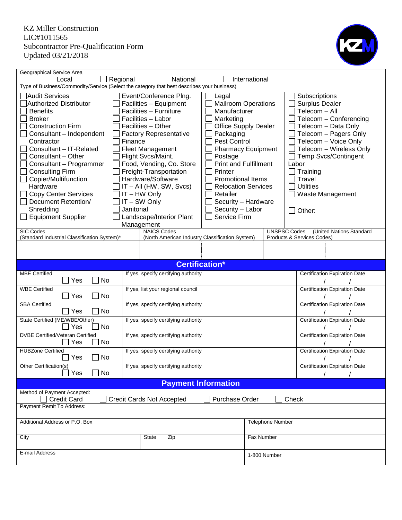

| Geographical Service Area                                                                                                                                                                                                                                                                                                                                                                                                                                                     |                                                                                                                                                                                                                                                                                                                                                                                    |                       |                                                                                                                                                                                                                                                                                                                                                   |                     |                                                                                                                                                                                                                                                                                                      |
|-------------------------------------------------------------------------------------------------------------------------------------------------------------------------------------------------------------------------------------------------------------------------------------------------------------------------------------------------------------------------------------------------------------------------------------------------------------------------------|------------------------------------------------------------------------------------------------------------------------------------------------------------------------------------------------------------------------------------------------------------------------------------------------------------------------------------------------------------------------------------|-----------------------|---------------------------------------------------------------------------------------------------------------------------------------------------------------------------------------------------------------------------------------------------------------------------------------------------------------------------------------------------|---------------------|------------------------------------------------------------------------------------------------------------------------------------------------------------------------------------------------------------------------------------------------------------------------------------------------------|
|                                                                                                                                                                                                                                                                                                                                                                                                                                                                               |                                                                                                                                                                                                                                                                                                                                                                                    |                       |                                                                                                                                                                                                                                                                                                                                                   |                     |                                                                                                                                                                                                                                                                                                      |
| Local<br>Type of Business/Commodity/Service (Select the category that best describes your business)<br>Audit Services<br>Authorized Distributor<br><b>Benefits</b><br><b>Broker</b><br><b>Construction Firm</b><br>Consultant - Independent<br>Contractor<br>Consultant - IT-Related<br>Consultant - Other<br>Consultant - Programmer<br><b>Consulting Firm</b><br>Copier/Multifunction<br>Hardware<br><b>Copy Center Services</b><br><b>Document Retention/</b><br>Shredding | Regional<br>Event/Conference Plng.<br>Facilities - Equipment<br>Facilities - Furniture<br>Facilities - Labor<br>Facilities - Other<br><b>Factory Representative</b><br>Finance<br>Fleet Management<br>Flight Svcs/Maint.<br>Food, Vending, Co. Store<br>Freight-Transportation<br>Hardware/Software<br>$IT - All$ (HW, SW, Svcs)<br>$IT - HW$ Only<br>$IT - SW Only$<br>Janitorial | National              | International<br>Legal<br><b>Mailroom Operations</b><br>Manufacturer<br>Marketing<br><b>Office Supply Dealer</b><br>Packaging<br>Pest Control<br><b>Pharmacy Equipment</b><br>Postage<br><b>Print and Fulfillment</b><br>Printer<br><b>Promotional Items</b><br><b>Relocation Services</b><br>Retailer<br>Security - Hardware<br>Security - Labor |                     | Subscriptions<br><b>Surplus Dealer</b><br>Telecom - All<br>Telecom - Conferencing<br>Telecom - Data Only<br>Telecom - Pagers Only<br>Telecom - Voice Only<br>Telecom - Wireless Only<br><b>Temp Svcs/Contingent</b><br>Labor<br>Training<br>Travel<br><b>Utilities</b><br>Waste Management<br>Other: |
| <b>Equipment Supplier</b>                                                                                                                                                                                                                                                                                                                                                                                                                                                     | Landscape/Interior Plant                                                                                                                                                                                                                                                                                                                                                           |                       | Service Firm                                                                                                                                                                                                                                                                                                                                      |                     |                                                                                                                                                                                                                                                                                                      |
| <b>SIC Codes</b>                                                                                                                                                                                                                                                                                                                                                                                                                                                              | Management<br><b>NAICS Codes</b>                                                                                                                                                                                                                                                                                                                                                   |                       |                                                                                                                                                                                                                                                                                                                                                   | <b>UNSPSC Codes</b> | (United Nations Standard                                                                                                                                                                                                                                                                             |
| (Standard Industrial Classification System)*                                                                                                                                                                                                                                                                                                                                                                                                                                  |                                                                                                                                                                                                                                                                                                                                                                                    |                       | (North American Industry Classification System)                                                                                                                                                                                                                                                                                                   |                     | Products & Services Codes)                                                                                                                                                                                                                                                                           |
|                                                                                                                                                                                                                                                                                                                                                                                                                                                                               |                                                                                                                                                                                                                                                                                                                                                                                    |                       |                                                                                                                                                                                                                                                                                                                                                   |                     |                                                                                                                                                                                                                                                                                                      |
|                                                                                                                                                                                                                                                                                                                                                                                                                                                                               |                                                                                                                                                                                                                                                                                                                                                                                    |                       |                                                                                                                                                                                                                                                                                                                                                   |                     |                                                                                                                                                                                                                                                                                                      |
|                                                                                                                                                                                                                                                                                                                                                                                                                                                                               |                                                                                                                                                                                                                                                                                                                                                                                    | <b>Certification*</b> |                                                                                                                                                                                                                                                                                                                                                   |                     |                                                                                                                                                                                                                                                                                                      |
| <b>MBE Certified</b>                                                                                                                                                                                                                                                                                                                                                                                                                                                          | If yes, specify certifying authority                                                                                                                                                                                                                                                                                                                                               |                       |                                                                                                                                                                                                                                                                                                                                                   |                     | <b>Certification Expiration Date</b>                                                                                                                                                                                                                                                                 |
| Yes<br><b>No</b>                                                                                                                                                                                                                                                                                                                                                                                                                                                              |                                                                                                                                                                                                                                                                                                                                                                                    |                       |                                                                                                                                                                                                                                                                                                                                                   |                     |                                                                                                                                                                                                                                                                                                      |
| If yes, list your regional council<br><b>WBE Certified</b><br><b>Certification Expiration Date</b><br>Yes<br><b>No</b>                                                                                                                                                                                                                                                                                                                                                        |                                                                                                                                                                                                                                                                                                                                                                                    |                       |                                                                                                                                                                                                                                                                                                                                                   |                     |                                                                                                                                                                                                                                                                                                      |
| <b>SBA Certified</b><br>$ Y$ es                                                                                                                                                                                                                                                                                                                                                                                                                                               | If yes, specify certifying authority<br><b>Certification Expiration Date</b><br><b>No</b>                                                                                                                                                                                                                                                                                          |                       |                                                                                                                                                                                                                                                                                                                                                   |                     |                                                                                                                                                                                                                                                                                                      |
| State Certified (ME/WBE/Other)<br>Yes                                                                                                                                                                                                                                                                                                                                                                                                                                         | If yes, specify certifying authority<br>No                                                                                                                                                                                                                                                                                                                                         |                       | <b>Certification Expiration Date</b>                                                                                                                                                                                                                                                                                                              |                     |                                                                                                                                                                                                                                                                                                      |
| DVBE Certified/Veteran Certified                                                                                                                                                                                                                                                                                                                                                                                                                                              | If yes, specify certifying authority                                                                                                                                                                                                                                                                                                                                               |                       | <b>Certification Expiration Date</b>                                                                                                                                                                                                                                                                                                              |                     |                                                                                                                                                                                                                                                                                                      |
| Yes<br><b>No</b><br><b>HUBZone Certified</b>                                                                                                                                                                                                                                                                                                                                                                                                                                  | If yes, specify certifying authority                                                                                                                                                                                                                                                                                                                                               |                       |                                                                                                                                                                                                                                                                                                                                                   |                     | <b>Certification Expiration Date</b>                                                                                                                                                                                                                                                                 |
| Yes<br>No                                                                                                                                                                                                                                                                                                                                                                                                                                                                     |                                                                                                                                                                                                                                                                                                                                                                                    |                       |                                                                                                                                                                                                                                                                                                                                                   |                     |                                                                                                                                                                                                                                                                                                      |
| Other Certification(s)<br>No<br>Yes                                                                                                                                                                                                                                                                                                                                                                                                                                           | If yes, specify certifying authority                                                                                                                                                                                                                                                                                                                                               |                       |                                                                                                                                                                                                                                                                                                                                                   |                     | <b>Certification Expiration Date</b>                                                                                                                                                                                                                                                                 |
|                                                                                                                                                                                                                                                                                                                                                                                                                                                                               |                                                                                                                                                                                                                                                                                                                                                                                    |                       | <b>Payment Information</b>                                                                                                                                                                                                                                                                                                                        |                     |                                                                                                                                                                                                                                                                                                      |
| Method of Payment Accepted:                                                                                                                                                                                                                                                                                                                                                                                                                                                   |                                                                                                                                                                                                                                                                                                                                                                                    |                       |                                                                                                                                                                                                                                                                                                                                                   |                     |                                                                                                                                                                                                                                                                                                      |
| <b>Credit Card</b><br>Check<br><b>Credit Cards Not Accepted</b><br>Purchase Order                                                                                                                                                                                                                                                                                                                                                                                             |                                                                                                                                                                                                                                                                                                                                                                                    |                       |                                                                                                                                                                                                                                                                                                                                                   |                     |                                                                                                                                                                                                                                                                                                      |
| Payment Remit To Address:                                                                                                                                                                                                                                                                                                                                                                                                                                                     |                                                                                                                                                                                                                                                                                                                                                                                    |                       |                                                                                                                                                                                                                                                                                                                                                   |                     |                                                                                                                                                                                                                                                                                                      |
| Additional Address or P.O. Box                                                                                                                                                                                                                                                                                                                                                                                                                                                |                                                                                                                                                                                                                                                                                                                                                                                    |                       |                                                                                                                                                                                                                                                                                                                                                   | Telephone Number    |                                                                                                                                                                                                                                                                                                      |
| City                                                                                                                                                                                                                                                                                                                                                                                                                                                                          | State                                                                                                                                                                                                                                                                                                                                                                              | Zip                   |                                                                                                                                                                                                                                                                                                                                                   | Fax Number          |                                                                                                                                                                                                                                                                                                      |
| E-mail Address                                                                                                                                                                                                                                                                                                                                                                                                                                                                |                                                                                                                                                                                                                                                                                                                                                                                    |                       |                                                                                                                                                                                                                                                                                                                                                   | 1-800 Number        |                                                                                                                                                                                                                                                                                                      |